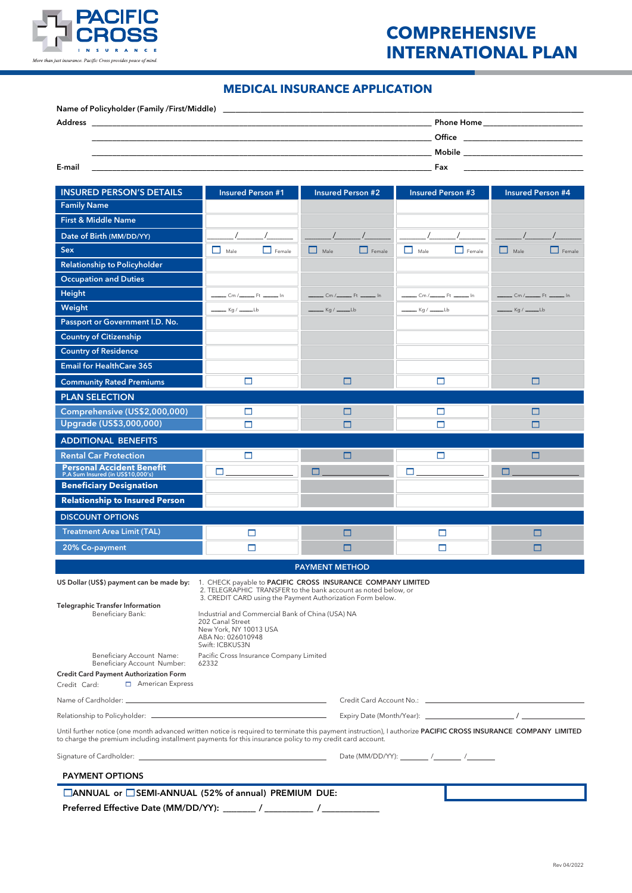

## **INTERNATIONAL PLAN COMPREHENSIVE**

## **MEDICAL INSURANCE APPLICATION**

| Name of Policyholder (Family /First/Middle) | <u> 1989 - Johann Stoff, deutscher Stoff, der Stoff, der Stoff, der Stoff, der Stoff, der Stoff, der Stoff, der S</u>  |
|---------------------------------------------|------------------------------------------------------------------------------------------------------------------------|
| <b>Address</b>                              | Phone Home <b>Section</b>                                                                                              |
|                                             | Office <u>________________</u>                                                                                         |
|                                             | Mobile <b>Mobile</b> in the state of the state of the state of the state of the state of the state of the state of the |
| E-mail                                      | Fax                                                                                                                    |

| <b>INSURED PERSON'S DETAILS</b>                                                                                                                                                                                                                                              | <b>Insured Person #1</b>                                                                                                     | <b>Insured Person #2</b>                                   | <b>Insured Person #3</b>                  | <b>Insured Person #4</b>                |  |  |
|------------------------------------------------------------------------------------------------------------------------------------------------------------------------------------------------------------------------------------------------------------------------------|------------------------------------------------------------------------------------------------------------------------------|------------------------------------------------------------|-------------------------------------------|-----------------------------------------|--|--|
| <b>Family Name</b>                                                                                                                                                                                                                                                           |                                                                                                                              |                                                            |                                           |                                         |  |  |
| <b>First &amp; Middle Name</b>                                                                                                                                                                                                                                               |                                                                                                                              |                                                            |                                           |                                         |  |  |
| Date of Birth (MM/DD/YY)                                                                                                                                                                                                                                                     |                                                                                                                              |                                                            |                                           |                                         |  |  |
| <b>Sex</b>                                                                                                                                                                                                                                                                   | □<br>$\Box$ Female<br>Male                                                                                                   | □<br>$\Box$ Female<br>Male                                 | П<br>Male<br>$\Box$ Female                | $\Box$ Male<br>$\Box$ Female            |  |  |
| <b>Relationship to Policyholder</b>                                                                                                                                                                                                                                          |                                                                                                                              |                                                            |                                           |                                         |  |  |
| <b>Occupation and Duties</b>                                                                                                                                                                                                                                                 |                                                                                                                              |                                                            |                                           |                                         |  |  |
| Height                                                                                                                                                                                                                                                                       | Cm / ______ Ft ______ In                                                                                                     | Cm /________________ Ft ___________ In                     | Cm /__________________ Ft ____________ In | Cm / _______________ Ft ____________ In |  |  |
| Weight                                                                                                                                                                                                                                                                       | _ Kg / ______Lb                                                                                                              | ___ Kg / _____Lb                                           | __ Kg / _____Lb                           | <b>Kg</b> / _____Lb                     |  |  |
| Passport or Government I.D. No.                                                                                                                                                                                                                                              |                                                                                                                              |                                                            |                                           |                                         |  |  |
| <b>Country of Citizenship</b>                                                                                                                                                                                                                                                |                                                                                                                              |                                                            |                                           |                                         |  |  |
| <b>Country of Residence</b>                                                                                                                                                                                                                                                  |                                                                                                                              |                                                            |                                           |                                         |  |  |
| <b>Email for HealthCare 365</b>                                                                                                                                                                                                                                              |                                                                                                                              |                                                            |                                           |                                         |  |  |
| <b>Community Rated Premiums</b>                                                                                                                                                                                                                                              | $\Box$                                                                                                                       | □                                                          | □                                         | □                                       |  |  |
| <b>PLAN SELECTION</b>                                                                                                                                                                                                                                                        |                                                                                                                              |                                                            |                                           |                                         |  |  |
| Comprehensive (US\$2,000,000)                                                                                                                                                                                                                                                | □                                                                                                                            | □                                                          | □                                         | □                                       |  |  |
| Upgrade (US\$3,000,000)                                                                                                                                                                                                                                                      | $\Box$                                                                                                                       | □                                                          | □                                         | □                                       |  |  |
| <b>ADDITIONAL BENEFITS</b>                                                                                                                                                                                                                                                   |                                                                                                                              |                                                            |                                           |                                         |  |  |
| <b>Rental Car Protection</b>                                                                                                                                                                                                                                                 | $\Box$                                                                                                                       | □                                                          | □                                         | □                                       |  |  |
| <b>Personal Accident Benefit</b><br>P.A Sum Insured (in US\$10,000's)                                                                                                                                                                                                        | $\Box$                                                                                                                       | □                                                          | □                                         | □                                       |  |  |
| <b>Beneficiary Designation</b>                                                                                                                                                                                                                                               |                                                                                                                              |                                                            |                                           |                                         |  |  |
| <b>Relationship to Insured Person</b>                                                                                                                                                                                                                                        |                                                                                                                              |                                                            |                                           |                                         |  |  |
| <b>DISCOUNT OPTIONS</b>                                                                                                                                                                                                                                                      |                                                                                                                              |                                                            |                                           |                                         |  |  |
| <b>Treatment Area Limit (TAL)</b>                                                                                                                                                                                                                                            | $\Box$                                                                                                                       | □                                                          | $\Box$                                    | □                                       |  |  |
| 20% Co-payment                                                                                                                                                                                                                                                               | □                                                                                                                            | □                                                          | □                                         | □                                       |  |  |
|                                                                                                                                                                                                                                                                              |                                                                                                                              | <b>PAYMENT METHOD</b>                                      |                                           |                                         |  |  |
| US Dollar (US\$) payment can be made by:                                                                                                                                                                                                                                     | 1. CHECK payable to <b>PACIFIC CROSS INSURANCE COMPANY LIMITED</b>                                                           |                                                            |                                           |                                         |  |  |
|                                                                                                                                                                                                                                                                              | 2. TELEGRAPHIC TRANSFER to the bank account as noted below, or<br>3. CREDIT CARD using the Payment Authorization Form below. |                                                            |                                           |                                         |  |  |
| <b>Telegraphic Transfer Information</b><br>Beneficiary Bank:                                                                                                                                                                                                                 | Industrial and Commercial Bank of China (USA) NA                                                                             |                                                            |                                           |                                         |  |  |
|                                                                                                                                                                                                                                                                              | 202 Canal Street<br>New York, NY 10013 USA                                                                                   |                                                            |                                           |                                         |  |  |
|                                                                                                                                                                                                                                                                              | ABA No: 026010948                                                                                                            |                                                            |                                           |                                         |  |  |
| Beneficiary Account Name:                                                                                                                                                                                                                                                    |                                                                                                                              | Swift: ICBKUS3N<br>Pacific Cross Insurance Company Limited |                                           |                                         |  |  |
| Beneficiary Account Number:<br><b>Credit Card Payment Authorization Form</b>                                                                                                                                                                                                 | 62332                                                                                                                        |                                                            |                                           |                                         |  |  |
| American Express<br>Credit Card:                                                                                                                                                                                                                                             |                                                                                                                              |                                                            |                                           |                                         |  |  |
|                                                                                                                                                                                                                                                                              |                                                                                                                              |                                                            |                                           |                                         |  |  |
|                                                                                                                                                                                                                                                                              |                                                                                                                              |                                                            |                                           |                                         |  |  |
| Until further notice (one month advanced written notice is required to terminate this payment instruction), I authorize PACIFIC CROSS INSURANCE COMPANY LIMITED<br>to charge the premium including installment payments for this insurance policy to my credit card account. |                                                                                                                              |                                                            |                                           |                                         |  |  |
|                                                                                                                                                                                                                                                                              | Date (MM/DD/YY): $\_\_\_\_\_\_\_\_\_$                                                                                        |                                                            |                                           |                                         |  |  |
| <b>PAYMENT OPTIONS</b>                                                                                                                                                                                                                                                       |                                                                                                                              |                                                            |                                           |                                         |  |  |
| □ ANNUAL or □ SEMI-ANNUAL (52% of annual) PREMIUM DUE:                                                                                                                                                                                                                       |                                                                                                                              |                                                            |                                           |                                         |  |  |
| Preferred Effective Date (MM/DD/YY): _______ / __________ /_                                                                                                                                                                                                                 |                                                                                                                              |                                                            |                                           |                                         |  |  |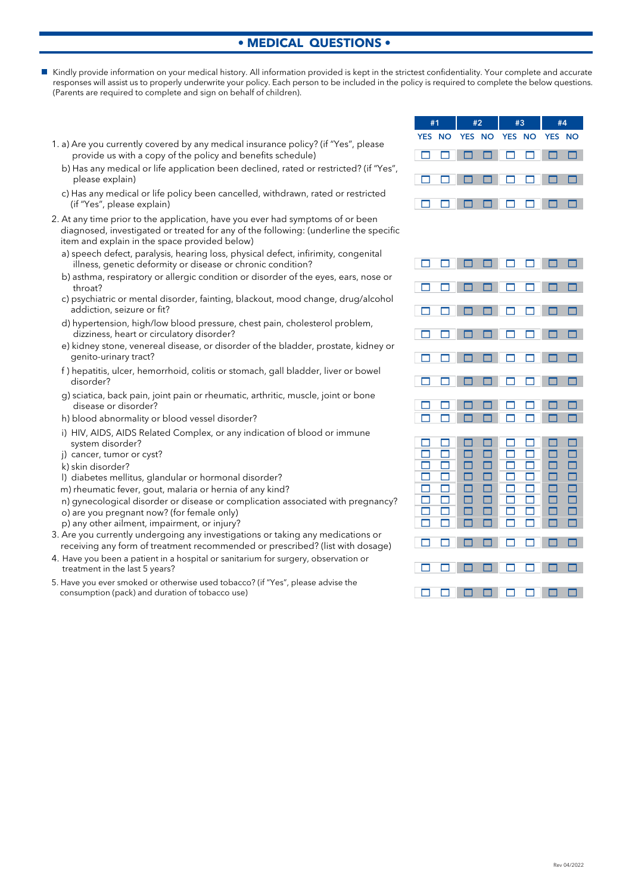## **• MEDICAL QUESTIONS •**

- Kindly provide information on your medical history. All information provided is kept in the strictest confidentiality. Your complete and accurate responses will assist us to properly underwrite your policy. Each person to be included in the policy is required to complete the below questions. (Parents are required to complete and sign on behalf of children).
	- 1. a) Are you currently covered by any medical insurance policy? (if "Yes", please provide us with a copy of the policy and benefits schedule)
		- b) Has any medical or life application been declined, rated or restricted? (if "Yes", please explain)
		- c) Has any medical or life policy been cancelled, withdrawn, rated or restricted (if "Yes", please explain)
	- 2. At any time prior to the application, have you ever had symptoms of or been diagnosed, investigated or treated for any of the following: (underline the specific item and explain in the space provided below)
		- a) speech defect, paralysis, hearing loss, physical defect, infirimity, congenital illness, genetic deformity or disease or chronic condition?
		- b) asthma, respiratory or allergic condition or disorder of the eyes, ears, nose or throat?
		- c) psychiatric or mental disorder, fainting, blackout, mood change, drug/alcohol addiction, seizure or fit?
		- d) hypertension, high/low blood pressure, chest pain, cholesterol problem, dizziness, heart or circulatory disorder?
		- e) kidney stone, venereal disease, or disorder of the bladder, prostate, kidney or genito-urinary tract?
		- f ) hepatitis, ulcer, hemorrhoid, colitis or stomach, gall bladder, liver or bowel disorder?
		- g) sciatica, back pain, joint pain or rheumatic, arthritic, muscle, joint or bone disease or disorder?
		- h) blood abnormality or blood vessel disorder?
		- i) HIV, AIDS, AIDS Related Complex, or any indication of blood or immune system disorder?
		- j) cancer, tumor or cyst?
		- k) skin disorder?
		- l) diabetes mellitus, glandular or hormonal disorder?
		- m) rheumatic fever, gout, malaria or hernia of any kind?
		- n) gynecological disorder or disease or complication associated with pregnancy?
		- o) are you pregnant now? (for female only)
		- p) any other ailment, impairment, or injury?
	- 3. Are you currently undergoing any investigations or taking any medications or receiving any form of treatment recommended or prescribed? (list with dosage)
	- 4. Have you been a patient in a hospital or sanitarium for surgery, observation or treatment in the last 5 years?
	- 5. Have you ever smoked or otherwise used tobacco? (if "Yes", please advise the consumption (pack) and duration of tobacco use)

|          |                             | #1 #2 #3 #4 |  |  |  |
|----------|-----------------------------|-------------|--|--|--|
|          | YES NO YES NO YES NO YES NO |             |  |  |  |
| 00000000 |                             |             |  |  |  |
| 00000000 |                             |             |  |  |  |
| 00000000 |                             |             |  |  |  |